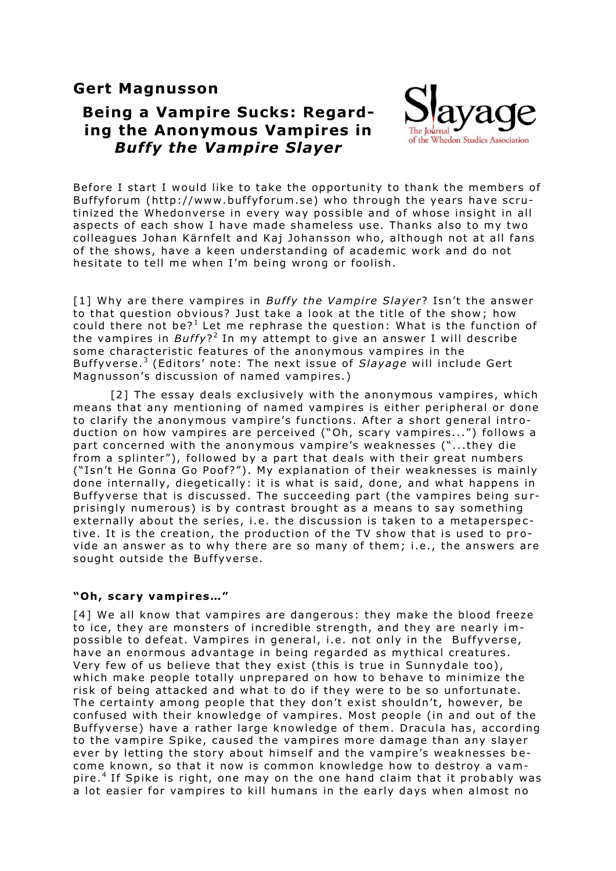# **Gert Magnusson**

# **Being a Vampire Sucks: Regarding the Anonymous Vampires in**  *Buffy the Vampire Slayer*



Before I start I would like to take the opportunity to thank the members of Buffyforum (http://www.buffyforum.se) who through the years have scrutinized the Whedonverse in every way possible and of whose insight in all aspects of each show I have made shameless use. Thanks also to my two colleagues Johan Kärnfelt and Kaj Johansson who, although not at all fans of the shows, have a keen understanding of academic work and do not hesitate to tell me when I'm being wrong or foolish.

[1] Why are there vampires in *Buffy the Vampire Slayer*? Isn't the answer to that question obvious? Just take a look at the title of the show: how could there not be? $^1$  Let me rephrase the question: What is the function of the vampires in *Buffy*?<sup>2</sup> In my attempt to give an answer I will describe some characteristic features of the anonymous vampires in the Buffyverse.<sup>3</sup> (Editors' note: The next issue of *Slayage* will include Gert Magnusson's discussion of named vampires.)

[2] The essay deals exclusively with the anonymous vampires, which means that any mentioning of named vampires is either peripheral or done to clarify the anonymous vampire's functions. After a short general introduction on how vampires are perceived ("Oh, scary vampires...") follows a part concerned with the anonymous vampire's weaknesses ("...they die from a splinter"), followed by a part that deals with their great numbers ("Isn't He Gonna Go Poof?"). My explanation of their weaknesses is mainly done internally, diegetically: it is what is said, done, and what happens in Buffyverse that is discussed. The succeeding part (the vampires being surprisingly numerous) is by contrast brought as a means to say something externally about the series, i.e. the discussion is taken to a metaperspective. It is the creation, the production of the TV show that is used to provide an answer as to why there are so many of them; i.e., the answers are sought outside the Buffyverse.

### **"Oh , scary vamp ires…"**

[4] We all know that vampires are dangerous: they make the blood freeze to ice, they are monsters of incredible strength, and they are nearly impossible to defeat. Vampires in general, i.e. not only in the Buffyverse, have an enormous advantage in being regarded as mythical creatures. Very few of us believe that they exist (this is true in Sunnydale too), which make people totally unprepared on how to behave to minimize the risk of being attacked and what to do if they were to be so unfortunate. The certainty among people that they don't exist shouldn't, however, be confused with their knowledge of vampires. Most people (in and out of the Buffyverse) have a rather large knowledge of them. Dracula has, according to the vampire Spike, caused the vampires more damage than any slayer ever by letting the story about himself and the vampire's weaknesses become known, so that it now is common knowledge how to destroy a vampire.<sup>4</sup> If Spike is right, one may on the one hand claim that it probably was a lot easier for vampires to kill humans in the early days when almost no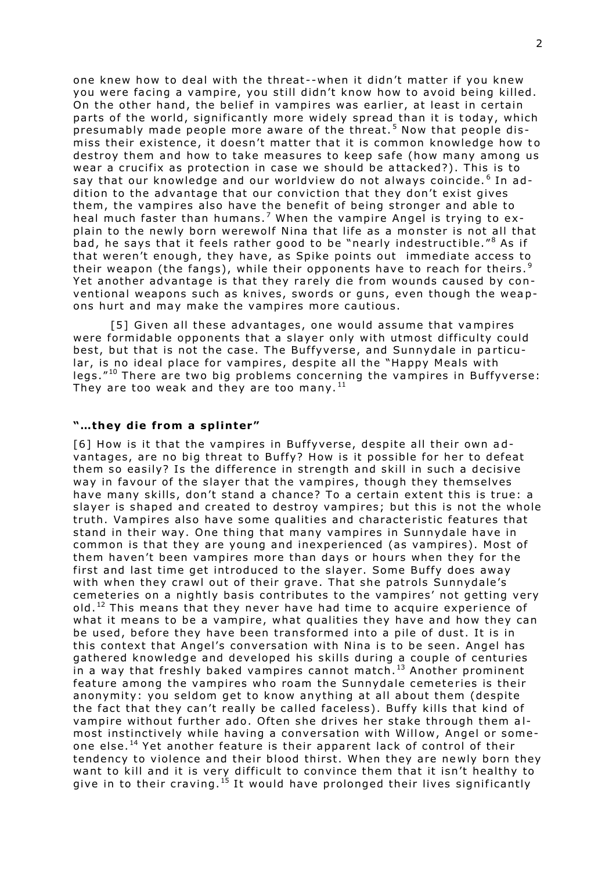one knew how to deal with the threat--when it didn't matter if you knew you were facing a vampire, you still didn't know how to avoid being killed. On the other hand, the belief in vampires was earlier, at least in certain parts of the world, significantly more widely spread than it is today, which presumably made people more aware of the threat.<sup>5</sup> Now that people dismiss their existence, it doesn't matter that it is common knowledge how to destroy them and how to take measures to keep safe (how many among us wear a crucifix as protection in case we should be attacked?). This is to say that our knowledge and our worldview do not always coincide. $^6$  In addition to the advantage that our conviction that they don't exist gives them, the vampires also have the benefit of being stronger and able to heal much faster than humans.<sup>7</sup> When the vampire Angel is trying to explain to the newly born werewolf Nina that life as a monster is not all that bad, he says that it feels rather good to be "nearly indestructible."<sup>8</sup> As if that weren't enough, they have, as Spike points out immediate access to their weapon (the fangs), while their opponents have to reach for theirs.<sup>9</sup> Yet another advantage is that they rarely die from wounds caused by conventional weapons such as knives, swords or guns, even though the weapons hurt and may make the vampires more cautious.

[5] Given all these advantages, one would assume that vampires were formidable opponents that a slayer only with utmost difficulty could best, but that is not the case. The Buffyverse, and Sunnydale in particular, is no ideal place for vampires, despite all the "Happy Meals with legs. $"^{10}$  There are two big problems concerning the vampires in Buffyverse: They are too weak and they are too many.<sup>11</sup>

#### "...they die from a splinter"

[6] How is it that the vampires in Buffyverse, despite all their own advantages, are no big threat to Buffy? How is it possible for her to defeat them so easily? Is the difference in strength and skill in such a decisive way in favour of the slaver that the vampires, though they themselves have many skills, don't stand a chance? To a certain extent this is true: a slayer is shaped and created to destroy vampires; but this is not the whole truth. Vampires also have some qualities and characteristic features that stand in their way. One thing that many vampires in Sunnydale have in common is that they are young and inexperienced (as vampires). Most of them haven't been vampires more than days or hours when they for the first and last time get introduced to the slayer. Some Buffy does away with when they crawl out of their grave. That she patrols Sunnydale's cemeteries on a nightly basis contributes to the vampires' not getting very old.<sup>12</sup> This means that they never have had time to acquire experience of what it means to be a vampire, what qualities they have and how they can be used, before they have been transformed into a pile of dust. It is in this context that Angel's conversation with Nina is to be seen. Angel has gathered knowledge and developed his skills during a couple of centuries in a way that freshly baked vampires cannot match.<sup>13</sup> Another prominent feature among the vampires who roam the Sunnydale cemeteries is their anonymity: you seldom get to know anything at all about them (despite the fact that they can't really be called faceless). Buffy kills that kind of vampire without further ado. Often she drives her stake through them almost instinctively while having a conversation with Willow, Angel or someone else.<sup>14</sup> Yet another feature is their apparent lack of control of their tendency to violence and their blood thirst. When they are newly born they want to kill and it is very difficult to convince them that it isn't healthy to give in to their craving.<sup>15</sup> It would have prolonged their lives significantly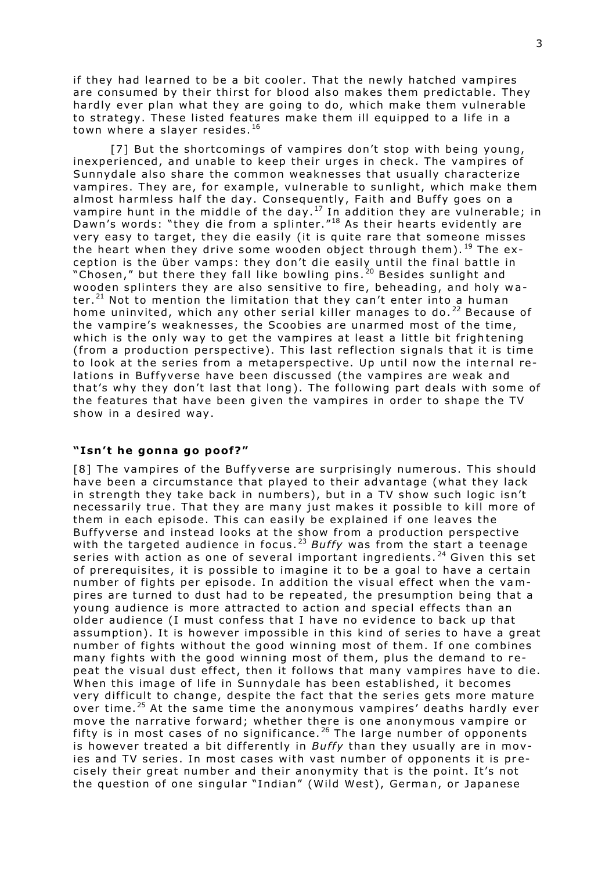if they had learned to be a bit cooler. That the newly hatched vampires are consumed by their thirst for blood also makes them predictable. They hardly ever plan what they are going to do, which make them vulnerable to strategy. These listed features make them ill equipped to a life in a town where a slayer resides.<sup>16</sup>

[7] But the shortcomings of vampires don't stop with being young, inexperienced, and unable to keep their urges in check. The vampires of Sunnydale also share the common weaknesses that usually characterize vampires. They are, for example, vulnerable to sunlight, which make them almost harmless half the day. Consequently, Faith and Buffy goes on a vampire hunt in the middle of the day.<sup>17</sup> In addition they are vulnerable; in Dawn's words: "they die from a splinter."<sup>18</sup> As their hearts evidently are very easy to target, they die easily (it is quite rare that someone misses the heart when they drive some wooden object through them).  $^{19}$  The exception is the über vamps: they don't die easily until the final battle in "Chosen," but there they fall like bowling pins.<sup>20</sup> Besides sunlight and wooden splinters they are also sensitive to fire, beheading, and holy water.<sup>21</sup> Not to mention the limitation that they can't enter into a human home uninvited, which any other serial killer manages to do.  $^{22}$  Because of the vampire's weaknesses, the Scoobies are unarmed most of the time, which is the only way to get the vampires at least a little bit frightening (from a production perspective). This last reflection signals that it is time to look at the series from a metaperspective. Up until now the internal relations in Buffyverse have been discussed (the vampires are weak and that's why they don't last that long). The following part deals with some of the features that have been given the vampires in order to shape the TV show in a desired way.

## "Isn't he gonna go poof?"

[8] The vampires of the Buffyverse are surprisingly numerous. This should have been a circumstance that played to their advantage (what they lack in strength they take back in numbers), but in a TV show such logic isn't necessarily true. That they are many just makes it possible to kill more of them in each episode . This can easily be explained if one leaves the Buffyverse and instead looks at the show from a production perspective with the targeted audience in focus.<sup>23</sup> Buffy was from the start a teenage series with action as one of several important ingredients.<sup>24</sup> Given this set of prerequisites, it is possible to imagine it to be a goal to have a certain number of fights per episode. In addition the visual effect when the vampires are turned to dust had to be repeated, the presumption being that a young audience is more attracted to action and special effects than an older audience (I must confess that I have no evidence to back up that as sumption). It is however impossible in this kind of series to have a great number of fights without the good winning most of them. If one combines many fights with the good winning most of them, plus the demand to repeat the visual dust effect, then it follows that many vampires have to die. When this image of life in Sunnydale has been established, it becomes very difficult to change, despite the fact that the series gets more mature over time.<sup>25</sup> At the same time the anonymous vampires' deaths hardly ever move the narrative forward; whether there is one anonymous vampire or fifty is in most cases of no significance.<sup>26</sup> The large number of opponents is however treated a bit differently in *Buffy* than they usually are in movies and TV series. In most cases with vast number of opponents it is precisely their great number and their anonymity that is the point. It's not the question of one singular "Indian" (Wild West), German, or Japanese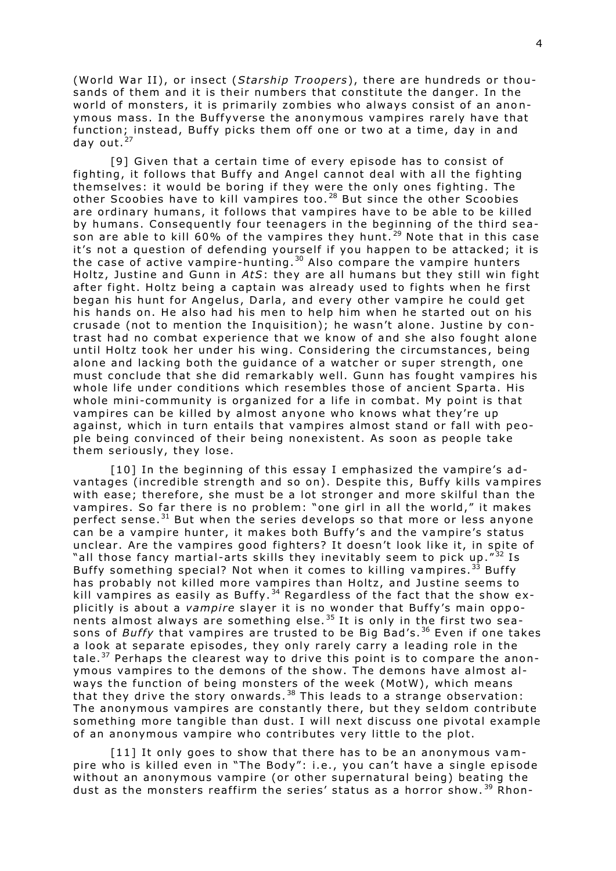(World War II), or insect (*Starship Troopers*), there are hundreds or thousands of them and it is their numbers that constitute the danger. In the world of monsters, it is primarily zombies who always consist of an anonymous mass. In the Buffyverse the anonymous vampires rarely have that function; instead, Buffy picks them off one or two at a time, day in and day out.<sup>27</sup>

[9] Given that a certain time of every episode has to consist of fighting, it follows that Buffy and Angel cannot deal with all the fighting themselves: it would be boring if they were the only ones fighting. The other Scoobies have to kill vampires too.<sup>28</sup> But since the other Scoobies are ordinary humans, it follows that vampires have to be able to be killed by humans. Consequently four teenagers in the beginning of the third season are able to kill 60% of the vampires they hunt.<sup>29</sup> Note that in this case it's not a question of defending yourself if you happen to be attacked; it is the case of active vampire-hunting.<sup>30</sup> Also compare the vampire hunters Holtz, Justine and Gunn in AtS: they are all humans but they still win fight after fight. Holtz being a captain was already used to fights when he first began his hunt for Angelus, Darla, and every other vampire he could get his hands on. He also had his men to help him when he started out on his crusade (not to mention the Inquisition); he wasn't alone. Justine by contrast had no combat experience that we know of and she also fought alone until Holtz took her under his wing. Considering the circumstances, being alone and lacking both the guidance of a watcher or super strength, one must conclude that she did remarkably well. Gunn has fought vampires his whole life under conditions which resembles those of ancient Sparta. His whole mini-community is organized for a life in combat. My point is that vampires can be killed by almost anyone who knows what they're up against, which in turn entails that vampires almost stand or fall with people being convinced of their being nonexistent. As soon as people take them seriously, they lose.

[10] In the beginning of this essay I emphasized the vampire's advantages (incredible strength and so on). Despite this, Buffy kills vampires with ease; therefore, she must be a lot stronger and more skilful than the vampires. So far there is no problem: "one girl in all the world," it makes perfect sense.<sup>31</sup> But when the series develops so that more or less anyone can be a vampire hunter, it makes both Buffy's and the vampire's status unclear. Are the vampires good fighters? It doesn't look like it, in spite of "all those fancy martial-arts skills they inevitably seem to pick up." $^{32}$  Is Buffy something special? Not when it comes to killing vampires.<sup>33</sup> Buffy has probably not killed more vampires than Holtz, and Justine seems to kill vampires as easily as Buffy.<sup>34</sup> Regardless of the fact that the show explicitly is about a *vampire* slayer it is no wonder that Buffy's main opponents almost always are something else.<sup>35</sup> It is only in the first two seasons of *Buffy* that vampires are trusted to be Big Bad's.<sup>36</sup> Even if one takes a look at separate episodes, they only rarely carry a leading role in the tale.<sup>37</sup> Perhaps the clearest way to drive this point is to compare the anonymous vampires to the demons of the show. The demons have almost always the function of being monsters of the week (MotW), which means that they drive the story onwards.<sup>38</sup> This leads to a strange observation: The anonymous vampires are constantly there, but they seldom contribute something more tangible than dust. I will next discuss one pivotal example of an anonymous vampire who contributes very little to the plot.

 $[11]$  It only goes to show that there has to be an anonymous vampire who is killed even in "The Body": i.e., you can't have a single episode without an anonymous vampire (or other supernatural being) beating the dust as the monsters reaffirm the series' status as a horror show.<sup>39</sup> Rhon-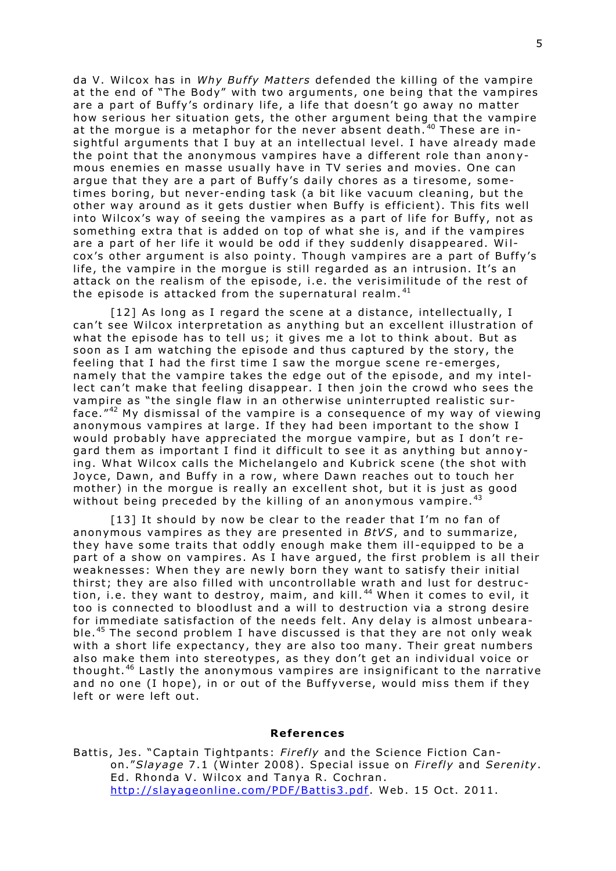da V. Wilcox has in Why Buffy Matters defended the killing of the vampire at the end of "The Body" with two arguments, one being that the vampires are a part of Buffy's ordinary life, a life that doesn't go away no matter how serious her situation gets, the other argument being that the vampire at the morgue is a metaphor for the never absent death.  $40$  These are insightful arguments that  $I$  buy at an intellectual level. I have already made the point that the anonymous vampires have a different role than anonymous enemies en masse usually have in TV series and movies. One can argue that they are a part of Buffy's daily chores as a tiresome, sometimes boring, but never-ending task (a bit like vacuum cleaning, but the other way around as it gets dustier when Buffy is efficient). This fits well into Wilcox's way of seeing the vampires as a part of life for Buffy, not as something extra that is added on top of what she is, and if the vampires are a part of her life it would be odd if they suddenly disappeared. Wilcox's other argument is also pointy. Though vampires are a part of Buffy's life, the vampire in the morque is still regarded as an intrusion. It's an attack on the realism of the episode, i.e. the verisimilitude of the rest of the episode is attacked from the supernatural realm. $41$ 

 $[12]$  As long as I regard the scene at a distance, intellectually, I can't see Wilcox interpretation as anything but an excellent illustration of what the episode has to tell us; it gives me a lot to think about. But as soon as I am watching the episode and thus captured by the story, the feeling that I had the first time I saw the morgue scene re-emerges, namely that the vampire takes the edge out of the episode, and my intellect can't make that feeling disappear. I then join the crowd who sees the vampire as "the single flaw in an otherwise uninterrupted realistic surface." $42$  My dismissal of the vampire is a consequence of my way of viewing anonymous vampires at large. If they had been important to the show I would probably have appreciated the morgue vampire, but as I don't regard them as important I find it difficult to see it as anything but annoying. What Wilcox calls the Michelangelo and Kubrick scene (the shot with Joyce, Dawn, and Buffy in a row, where Dawn reaches out to touch her mother) in the morgue is really an excellent shot, but it is just as good without being preceded by the killing of an anonymous vampire.  $43$ 

 $[13]$  It should by now be clear to the reader that I'm no fan of anonymous vampires as they are presented in *BtVS*, and to summarize, they have some traits that oddly enough make them ill-equipped to be a part of a show on vampires. As I have argued, the first problem is all their weaknesses: When they are newly born they want to satisfy their initial thirst; they are also filled with uncontrollable wrath and lust for destruction, i.e. they want to destroy, maim, and kill.<sup>44</sup> When it comes to evil, it too is connected to bloodlust and a will to destruction via a strong desire for immediate satisfaction of the needs felt. Any delay is almost unbearable.<sup>45</sup> The second problem I have discussed is that they are not only weak with a short life expectancy, they are also too many. Their great numbers also make them into stereotypes, as they don't get an individual voice or thought.<sup>46</sup> Lastly the anonymous vampires are insignificant to the narrative and no one (I hope), in or out of the Buffyverse, would miss them if they left or were left out.

#### **Re ferences**

Battis, Jes. "Captain Tightpants: Firefly and the Science Fiction Canon."*Slayage* 7 .1 (Winter 2008) . Special is sue on *Fi re fly* and *Sereni ty*. Ed. Rhonda V. Wilcox and Tanya R. Cochran. http://slayageonline.com/PDF/Battis3.pdf. Web. 15 Oct. 2011.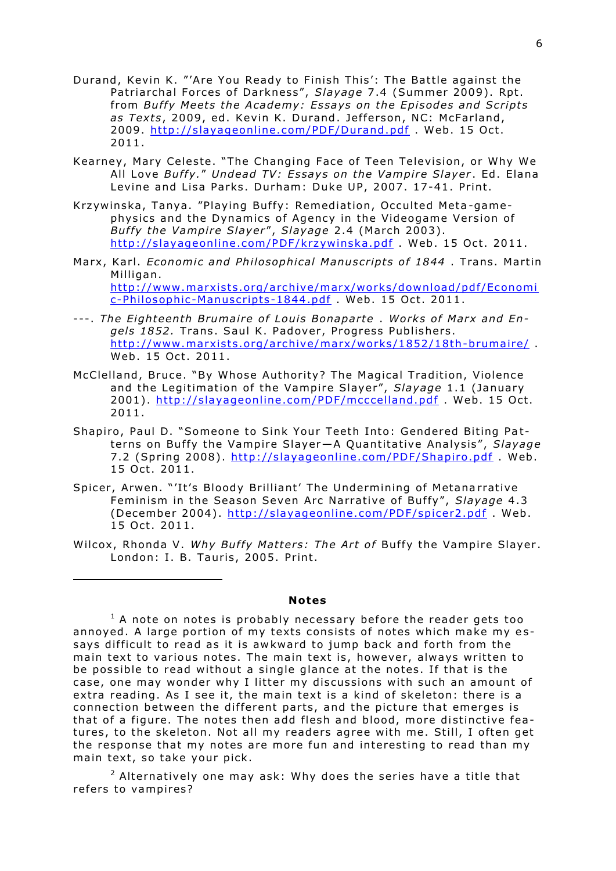- Durand, Kevin K. "'Are You Ready to Finish This': The Battle against the Patriarchal Forces of Darkness", Slayage 7.4 (Summer 2009). Rpt. from Buffy Meets the Academy: Essays on the Episodes and Scripts as Texts, 2009, ed. Kevin K. Durand. Jefferson, NC: McFarland, 2009. http://slayageonline.com/PDF/Durand.pdf. Web. 15 Oct.  $2011.$
- Kearney, Mary Celeste. "The Changing Face of Teen Television, or Why We All Love Buffy." Undead TV: Essays on the Vampire Slayer. Ed. Elana Levine and Lisa Parks. Durham: Duke UP, 2007. 17-41. Print.
- Krzywinska, Tanya. "Playing Buffy: Remediation, Occulted Meta-gamephysics and the Dynamics of Agency in the Videogame Version of *Buffy the Vampire Slayer", Slayage* 2.4 (March 2003). http://slayageonline.com/PDF/krzywinska.pdf Web. 15 Oct. 2011.
- Marx, Karl. *Economic and Philosophical Manuscripts of 1844*. Trans. Martin Milligan. http://www.marxists.org/archive/marx/works/download/pdf/Economi c-Philosophic-Manuscripts-1844.pdf . Web. 15 Oct. 2011.
- ---. The Eighteenth Brumaire of Louis Bonaparte. Works of Marx and En*gels 1852.* Trans. Saul K. Padover, Progress Publishers. http://www.marxists.org/archive/marx/works/1852/18th-brumaire/ Web. 15 Oct. 2011.
- McClelland, Bruce. "By Whose Authority? The Magical Tradition, Violence and the Legitimation of the Vampire Slayer", Slayage 1.1 (January 2001). http://slayageonline.com/PDF/mcccelland.pdf Web. 15 Oct. 2011 .
- Shapiro, Paul D. "Someone to Sink Your Teeth Into: Gendered Biting Patterns on Buffy the Vampire Slayer-A Quantitative Analysis", Slayage 7.2 (Spring 2008). http://slayageonline.com/PDF/Shapiro.pdf. Web. 15 Oct. 2011.
- Spicer, Arwen. "'It's Bloody Brilliant' The Undermining of Metanarrative Feminism in the Season Seven Arc Narrative of Buffy", Slayage 4.3 (December 2004). http://slayageonline.com/PDF/spicer2.pdf . Web. 15 Oct. 2011.
- Wilcox, Rhonda V. Why Buffy Matters: The Art of Buffy the Vampire Slayer. London: I. B. Tauris, 2005. Print.

-

#### **Notes**

 $1$  A note on notes is probably necessary before the reader gets too annoyed. A large portion of my texts consists of notes which make my essays difficult to read as it is awkward to jump back and forth from the main text to various notes. The main text is, however, always written to be possible to read without a single glance at the notes. If that is the case, one may wonder why I litter my discussions with such an amount of extra reading. As I see it, the main text is a kind of skeleton: there is a connection between the different parts, and the picture that emerges is that of a figure. The notes then add flesh and blood, more distinctive features, to the skeleton. Not all my readers agree with me. Still, I often get the response that my notes are more fun and interesting to read than my main text, so take your pick.

 $2$  Alternatively one may ask: Why does the series have a title that refers to vampires?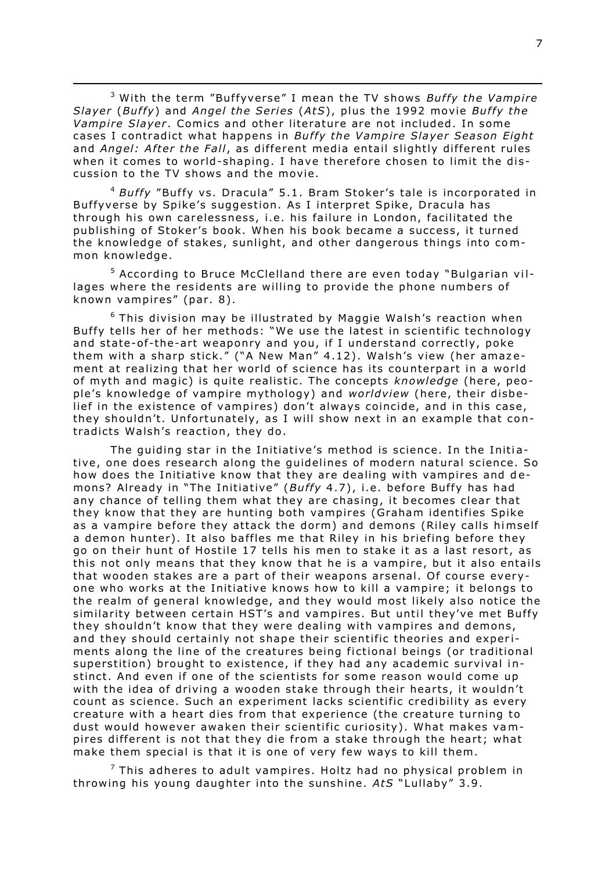<sup>3</sup> With the term "Buffyverse" I mean the TV shows *Buffy the Vampire Slayer* (*Buffy*) and *Angel the Series* (AtS), plus the 1992 movie *Buffy the Vampire Slayer*. Comics and other literature are not included. In some cases I contradict what happens in *Buffy the Vampire Slaver Season Eight* and *Angel: After the Fall*, as different media entail slightly different rules when it comes to world-shaping. I have therefore chosen to limit the discussion to the TV shows and the movie.

 $\overline{a}$ 

<sup>4</sup> Buffy "Buffy vs. Dracula" 5.1. Bram Stoker's tale is incorporated in Buffyverse by Spike's suggestion. As I interpret Spike, Dracula has through his own carelessness, i.e. his failure in London, facilitated the publishing of Stoker's book. When his book became a success, it turned the knowledge of stakes, sunlight, and other dangerous things into common knowledge .

<sup>5</sup> According to Bruce McClelland there are even today "Bulgarian villages where the residents are willing to provide the phone numbers of known vampires" (par. 8).

 $6$  This division may be illustrated by Maggie Walsh's reaction when Buffy tells her of her methods: "We use the latest in scientific technology and state-of-the-art weaponry and you, if I understand correctly, poke them with a sharp stick." ("A New Man" 4.12). Walsh's view (her amazement at realizing that her world of science has its counterpart in a world of myth and magic) is quite realistic. The concepts *knowledge* (here, people's knowledge of vampire mythology) and *worldview* (here, their disbelief in the existence of vampires) don't always coincide, and in this case, they shouldn't. Unfortunately, as I will show next in an example that contradicts Walsh's reaction, they do.

The quiding star in the Initiative's method is science. In the Initiative, one does research along the guidelines of modern natural science. So how does the Initiative know that they are dealing with vampires and demons? Already in "The Initiative" (Buffy 4.7), i.e. before Buffy has had any chance of telling them what they are chasing, it becomes clear that they know that they are hunting both vampires (Graham identifies Spike as a vampire before they attack the dorm) and demons (Riley calls himself a demon hunter). It also baffles me that Riley in his briefing before they go on their hunt of Hostile 17 tells his men to stake it as a last resort, as this not only means that they know that he is a vampire, but it also entails that wooden stakes are a part of their weapons arsenal. Of course everyone who works at the Initiative knows how to kill a vampire ; it belongs to the realm of general knowledge, and they would most likely also notice the similarity between certain HST's and vampires. But until they've met Buffy they shouldn't know that they were dealing with vampires and demons, and they should certainly not shape their scientific theories and experiments along the line of the creatures being fictional beings (or traditional superstition) brought to existence, if they had any academic survival instinct. And even if one of the scientists for some reason would come up with the idea of driving a wooden stake through their hearts, it wouldn't count as science. Such an experiment lacks scientific credibility as every creature with a heart dies from that experience (the creature turning to dust would however awaken their scientific curiosity). What makes vampires different is not that they die from a stake through the heart; what make them special is that it is one of very few ways to kill them.

 $^7$  This adheres to adult vampires. Holtz had no physical problem in throwing his young daughter into the sunshine . *AtS* "Lullaby" 3 .9 .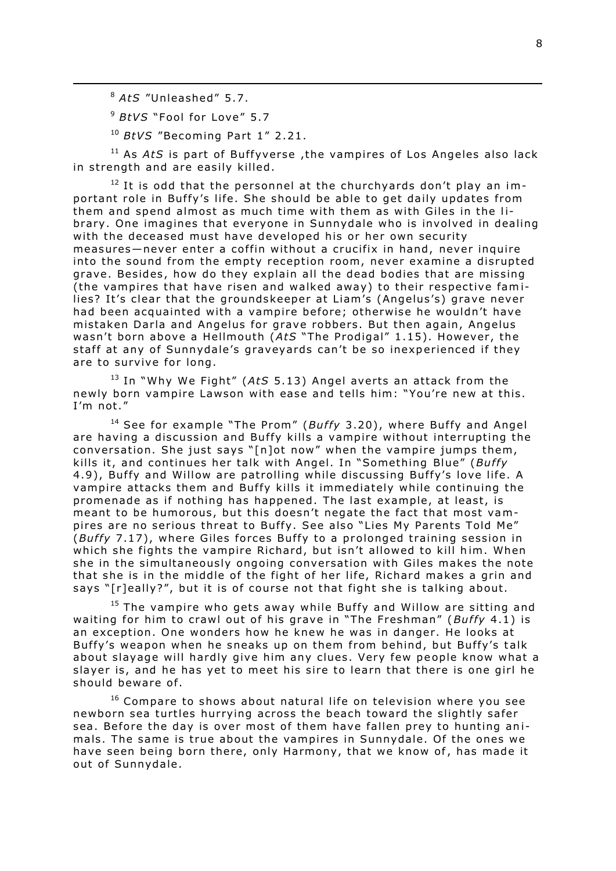<sup>8</sup> *AtS* "Unleashed" 5 .7 .

 $\overline{a}$ 

<sup>9</sup> BtVS "Fool for Love" 5.7

<sup>10</sup> BtVS "Becoming Part 1" 2.21.

<sup>11</sup> As *AtS* is part of Buffyverse, the vampires of Los Angeles also lack in strength and are easily killed.

 $12$  It is odd that the personnel at the churchyards don't play an important role in Buffy's life. She should be able to get daily updates from them and spend almost as much time with them as with Giles in the library . One imagines that everyone in Sunnydale who is involved in dealing with the deceased must have developed his or her own security measures—never enter a coffin without a crucifix in hand, never inquire into the sound from the empty reception room, never examine a disrupted grave. Besides, how do they explain all the dead bodies that are missing (the vampires that have risen and walked away) to their respective families? It's clear that the groundskeeper at Liam's (Angelus's) grave never had been acquainted with a vampire before; otherwise he wouldn't have mistaken Darla and Angelus for grave robbers. But then again, Angelus wasn't born above a Hellmouth (AtS "The Prodigal" 1.15). However, the staff at any of Sunnydale's graveyards can't be so inexperienced if they are to survive for long.

<sup>13</sup> In "Why We Fight" (AtS 5.13) Angel averts an attack from the newly born vampire Lawson with ease and tells him: "You're new at this . I'm not."

<sup>14</sup> See for example "The Prom" (Buffy 3.20), where Buffy and Angel are having a discussion and Buffy kills a vampire without interrupting the conversation. She just says "[n]ot now" when the vampire jumps them, kills it, and continues her talk with Angel. In "Something Blue" (Buffy 4.9), Buffy and Willow are patrolling while discussing Buffy's love life. A vampire attacks them and Buffy kills it immediately while continuing the promenade as if nothing has happened. The last example, at least, is meant to be humorous, but this doesn't negate the fact that most vampires are no serious threat to Buffy. See also "Lies My Parents Told Me" (*Buffy* 7.17), where Giles forces Buffy to a prolonged training session in which she fights the vampire Richard, but isn't allowed to kill him. When she in the simultaneously ongoing conversation with Giles makes the note that she is in the middle of the fight of her life, Richard makes a grin and says "[r]eally?", but it is of course not that fight she is talking about.

 $15$  The vampire who gets away while Buffy and Willow are sitting and waiting for him to crawl out of his grave in "The Freshman" (*Buffy* 4.1) is an exception. One wonders how he knew he was in danger. He looks at Buffy's weapon when he sneaks up on them from behind, but Buffy's talk about slayage will hardly give him any clues. Very few people know what a slayer is, and he has yet to meet his sire to learn that there is one girl he should beware of.

 $16$  Compare to shows about natural life on television where you see newborn sea turtles hurrying across the beach toward the slightly safer sea. Before the day is over most of them have fallen prey to hunting animals. The same is true about the vampires in Sunnydale. Of the ones we have seen being born there, only Harmony, that we know of, has made it out of Sunnydale.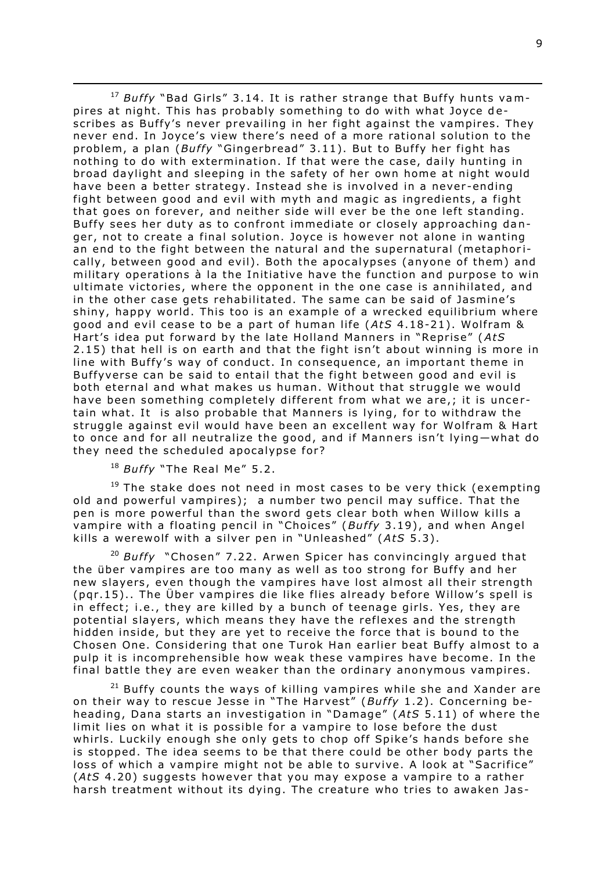<sup>17</sup> Buffy "Bad Girls" 3.14. It is rather strange that Buffy hunts vampires at night. This has probably something to do with what Joyce describes as Buffy's never prevailing in her fight against the vampires. They never end. In Joyce's view there's need of a more rational solution to the problem, a plan (*Buffy* "Gingerbread" 3.11). But to Buffy her fight has nothing to do with extermination. If that were the case, daily hunting in broad daylight and sleeping in the safety of her own home at night would have been a better strategy. Instead she is involved in a never-ending fight between good and evil with myth and magic as ingredients, a fight that goes on forever, and neither side will ever be the one left standing. Buffy sees her duty as to confront immediate or closely approaching danger, not to create a final solution. Joyce is however not alone in wanting an end to the fight between the natural and the supernatural (metaphorically, between good and evil). Both the apocalypses (anyone of them) and military operations à la the Initiative have the function and purpose to win ultimate victories, where the opponent in the one case is annihilated, and in the other case gets rehabilitated. The same can be said of Jasmine's shiny, happy world. This too is an example of a wrecked equilibrium where good and evil cease to be a part of human life (AtS 4.18-21). Wolfram & Hart's idea put forward by the late Holland Manners in "Reprise" (*AtS* 2.15) that hell is on earth and that the fight isn't about winning is more in line with Buffy's way of conduct. In consequence, an important theme in Buffyverse can be said to entail that the fight between good and evil is both eternal and what makes us human. Without that struggle we would have been something completely different from what we are,; it is uncertain what. It is also probable that Manners is lying, for to withdraw the struggle against evil would have been an excellent way for Wolfram & Hart to once and for all neutralize the good, and if Manners isn't lying—what do they need the scheduled apocalypse for?

<sup>18</sup> Buffy "The Real Me" 5.2.

 $\overline{a}$ 

 $19$  The stake does not need in most cases to be very thick (exempting old and powerful vampires); a number two pencil may suffice. That the pen is more powerful than the sword gets clear both when Willow kills a vampire with a floating pencil in "Choices" (Buffy 3.19), and when Angel kills a werewolf with a silver pen in "Unleashed" (AtS 5.3).

<sup>20</sup> Buffy "Chosen" 7.22. Arwen Spicer has convincingly argued that the über vampires are too many as well as too strong for Buffy and her new slayers, even though the vampires have lost almost all their strength (par.15).. The Über vampires die like flies already before Willow's spell is in effect; i.e., they are killed by a bunch of teenage girls. Yes, they are potential slayers, which means they have the reflexes and the strength hidden inside, but they are yet to receive the force that is bound to the Chosen One. Considering that one Turok Han earlier beat Buffy almost to a pulp it is incomprehensible how weak these vampires have become. In the final battle they are even weaker than the ordinary anonymous vampires.

 $21$  Buffy counts the ways of killing vampires while she and Xander are on their way to rescue Jesse in "The Harvest" (Buffy 1.2). Concerning beheading, Dana starts an investigation in "Damage" (AtS 5.11) of where the limit lies on what it is possible for a vampire to lose before the dust whirls. Luckily enough she only gets to chop off Spike's hands before she is stopped. The idea seems to be that there could be other body parts the loss of which a vampire might not be able to survive. A look at "Sacrifice" (AtS 4.20) suggests however that you may expose a vampire to a rather harsh treatment without its dying. The creature who tries to awaken Jas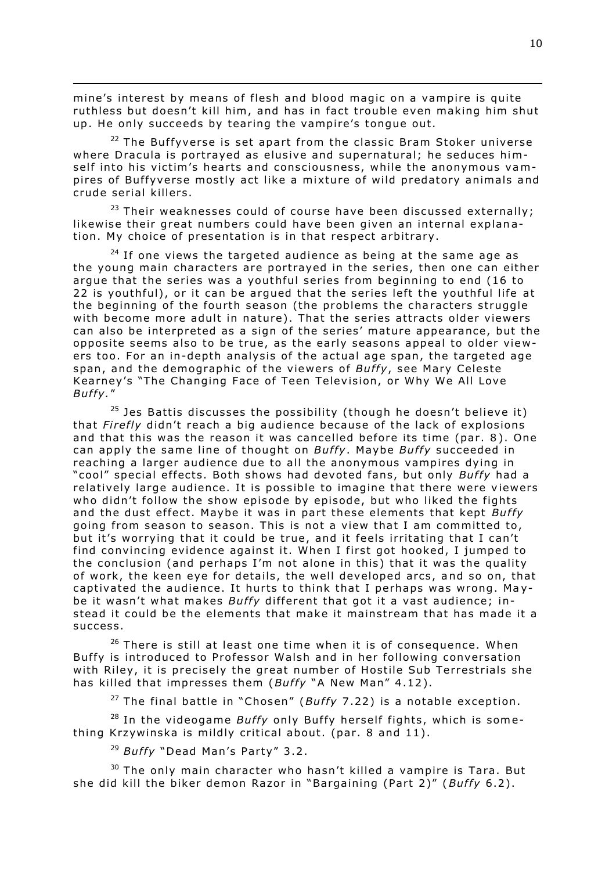mine's interest by means of flesh and blood magic on a vampire is quite ruthless but doesn't kill him, and has in fact trouble even making him shut up. He only succeeds by tearing the vampire's tongue out.

 $\overline{a}$ 

 $22$  The Buffvverse is set apart from the classic Bram Stoker universe where Dracula is portrayed as elusive and supernatural; he seduces himself into his victim's hearts and consciousness, while the anonymous vampires of Buffyverse mostly act like a mixture of wild predatory animals and crude serial killers .

<sup>23</sup> Their weaknesses could of course have been discussed externally; likewise their great numbers could have been given an internal explanation. My choice of presentation is in that respect arbitrary.

 $24$  If one views the targeted audience as being at the same age as the young main characters are portraved in the series, then one can either argue that the series was a youthful series from beginning to end (16 to 22 is youthful), or it can be argued that the series left the youthful life at the beginning of the fourth season (the problems the characters struggle with become more adult in nature). That the series attracts older viewers can also be interpreted as a sign of the series' mature appearance, but the opposite seems also to be true, as the early seasons appeal to older viewers too. For an in-depth analysis of the actual age span, the targeted age span, and the demographic of the viewers of *Buffy*, see Mary Celeste Kearney's "The Changing Face of Teen Television, or Why We All Love *Bu f fy .*"

 $25$  Jes Battis discusses the possibility (though he doesn't believe it) that *Firefly* didn't reach a big audience because of the lack of explosions and that this was the reason it was cancelled before its time (par. 8). One can apply the same line of thought on *Buffy*. Maybe *Buffy* succeeded in reaching a larger audience due to all the anonymous vampires dying in "cool" special effects. Both shows had devoted fans, but only *Buffy* had a relatively large audience. It is possible to imagine that there were viewers who didn't follow the show episode by episode , but who liked the fights and the dust effect. Maybe it was in part these elements that kept *Buffy* going from season to season. This is not a view that I am committed to, but it's worrying that it could be true, and it feels irritating that I can't find convincing evidence against it. When I first got hooked, I jumped to the conclusion (and perhaps I'm not alone in this) that it was the quality of work, the keen eye for details, the well developed arcs, and so on, that captivated the audience. It hurts to think that I perhaps was wrong. Maybe it wasn't what makes *Buffy* different that got it a vast audience; instead it could be the elements that make it mainstream that has made it a success.

 $26$  There is still at least one time when it is of consequence. When Buffy is introduced to Professor Walsh and in her following conversation with Riley, it is precisely the great number of Hostile Sub Terrestrials she has killed that impresses them (*Buffy* "A New Man" 4.12).

<sup>27</sup> The final battle in "Chosen" (*Buffy* 7.22) is a notable exception.

<sup>28</sup> In the videogame *Buffy* only Buffy herself fights, which is something Krzywinska is mildly critical about. (par. 8 and 11).

<sup>29</sup> *Buffy* "Dead Man's Party" 3.2.

 $30$  The only main character who hasn't killed a vampire is Tara. But she did kill the biker demon Razor in "Bargaining (Part 2)" (Buffy 6.2).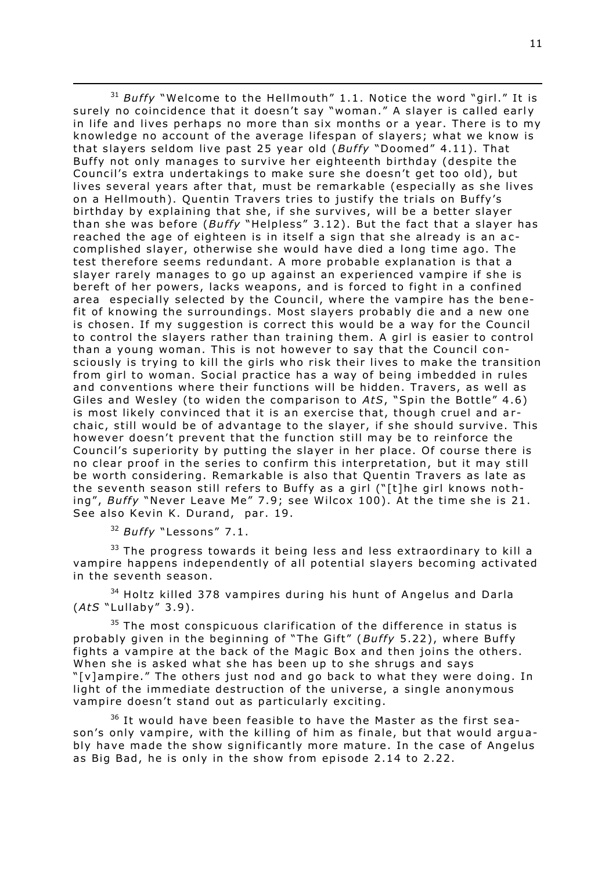$\overline{a}$ <sup>31</sup> Buffy "Welcome to the Hellmouth" 1.1. Notice the word "girl." It is surely no coincidence that it doesn't say "woman." A slayer is called early in life and lives perhaps no more than six months or a year. There is to my knowledge no account of the average lifespan of slavers; what we know is that slayers seldom live past 25 year old (*Buffy* "Doomed" 4.11). That Buffy not only manages to survive her eighteenth birthday (despite the Council's extra undertakings to make sure she doesn't get too old), but lives several years after that, must be remarkable (especially as she lives on a Hellmouth). Quentin Travers tries to justify the trials on Buffy's birthday by explaining that she, if she survives, will be a better slayer than she was before (*Buffy* "Helpless" 3.12). But the fact that a slayer has reached the age of eighteen is in itself a sign that she already is an accomplished slayer, otherwise she would have died a long time ago. The test therefore seems redundant. A more probable explanation is that a slayer rarely manages to go up against an experienced vampire if she is bereft of her powers, lacks weapons, and is forced to fight in a confined area especially selected by the Council, where the vampire has the benefit of knowing the surroundings. Most slayers probably die and a new one is chosen. If my suggestion is correct this would be a way for the Council to control the slayers rather than training them. A girl is easier to control than a young woman. This is not however to say that the Council consciously is trying to kill the girls who risk their lives to make the transition from girl to woman. Social practice has a way of being imbedded in rules and conventions where their functions will be hidden. Travers, as well as Giles and Wesley (to widen the comparison to AtS, "Spin the Bottle" 4.6) is most likely convinced that it is an exercise that, though cruel and archaic, still would be of advantage to the slayer, if she should survive. This however doesn't prevent that the function still may be to reinforce the Council's superiority by putting the slayer in her place. Of course there is no clear proof in the series to confirm this interpretation, but it may still be worth considering. Remarkable is also that Quentin Travers as late as the seventh season still refers to Buffy as a girl ("[t]he girl knows nothing", *Buffy* "Never Leave Me" 7.9; see Wilcox 100). At the time she is 21. See also Kevin K. Durand, par. 19.

<sup>32</sup> *Buffy* "Lessons" 7.1.

 $33$  The progress towards it being less and less extraordinary to kill a vampire happens independently of all potential slayers becoming activated in the seventh season.

 $34$  Holtz killed 378 vampires during his hunt of Angelus and Darla (*A tS* "Lullaby" 3 .9) .

 $35$  The most conspicuous clarification of the difference in status is probably given in the beginning of "The Gift" (*Buffy* 5.22), where Buffy fights a vampire at the back of the Magic Box and then joins the others. When she is asked what she has been up to she shrugs and says "[v]ampire." The others just nod and go back to what they were doing. In light of the immediate destruction of the universe, a single anonymous vampire doesn't stand out as particularly exciting.

 $36$  It would have been feasible to have the Master as the first season's only vampire, with the killing of him as finale, but that would arguably have made the show significantly more mature. In the case of Angelus as Big Bad, he is only in the show from episode 2.14 to 2.22.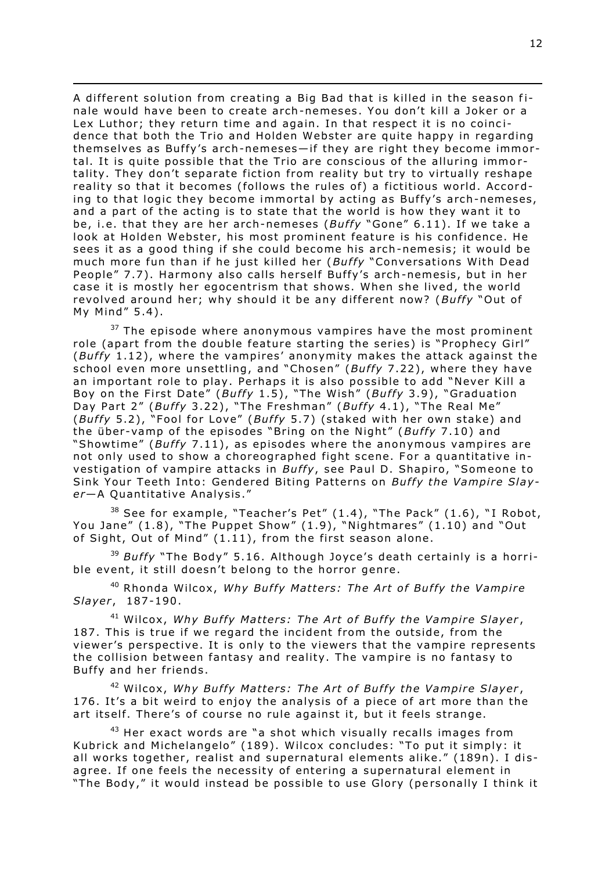A different solution from creating a Big Bad that is killed in the season finale would have been to create arch-nemeses. You don't kill a Joker or a Lex Luthor; they return time and again. In that respect it is no coincidence that both the Trio and Holden Webster are quite happy in regarding themselves as Buffy's arch-nemeses—if they are right they become immortal. It is quite possible that the Trio are conscious of the alluring immortality. They don't separate fiction from reality but try to virtually reshape reality so that it becomes (follows the rules of) a fictitious world. According to that logic they become immortal by acting as Buffy's arch-nemeses, and a part of the acting is to state that the world is how they want it to be, i.e. that they are her arch-nemeses (Buffy "Gone" 6.11). If we take a look at Holden Webster, his most prominent feature is his confidence. He sees it as a good thing if she could become his arch-nemesis; it would be much more fun than if he just killed her (Buffy "Conversations With Dead People" 7.7). Harmony also calls herself Buffy's arch-nemesis, but in her case it is mostly her egocentrism that shows. When she lived, the world revolved around her; why should it be any different now? (Buffy "Out of My Mind" 5.4) .

 $\overline{a}$ 

 $37$  The episode where anonymous vampires have the most prominent role (apart from the double feature starting the series) is "Prophecy Girl" (*Buffy* 1.12), where the vampires' anonymity makes the attack against the school even more unsettling, and "Chosen" (*Buffy* 7.22), where they have an important role to play. Perhaps it is also possible to add "Never Kill a Boy on the First Date" (*Buffy* 1.5), "The Wish" (*Buffy* 3.9), "Graduation Day Part 2" (*Buffy* 3.22), "The Freshman" (*Buffy* 4.1), "The Real Me" (*Buffy* 5.2), "Fool for Love" (*Buffy* 5.7) (staked with her own stake) and the über-vamp of the episodes "Bring on the Night" (*Buffy* 7.10) and "Showtime" (*Buffy* 7.11), as episodes where the anonymous vampires are not only used to show a choreographed fight scene. For a quantitative investigation of vampire attacks in *Buffy*, see Paul D. Shapiro, "Someone to Sink Your Teeth Into: Gendered Biting Patterns on *Buffy the Vampire Slayer*—A Quantitative Analysis ."

 $38$  See for example, "Teacher's Pet"  $(1.4)$ , "The Pack"  $(1.6)$ , "I Robot, You Jane" (1.8), "The Puppet Show" (1.9), "Nightmares" (1.10) and "Out of Sight, Out of Mind"  $(1.11)$ , from the first season alone.

<sup>39</sup> Buffy "The Body" 5.16. Although Joyce's death certainly is a horrible event, it still doesn't belong to the horror genre.

<sup>40</sup> Rhonda Wilcox, *Why Buffy Matters: The Art of Buffy the Vampire Slayer* , 187-190 .

<sup>41</sup> Wilcox, Why Buffy Matters: The Art of Buffy the Vampire Slayer, 187. This is true if we regard the incident from the outside, from the viewer's perspective. It is only to the viewers that the vampire represents the collision between fantasy and reality. The vampire is no fantasy to Buffy and her friends.

<sup>42</sup> Wilcox, Why Buffy Matters: The Art of Buffy the Vampire Slayer, 176. It's a bit weird to eniov the analysis of a piece of art more than the art itself. There's of course no rule against it, but it feels strange.

 $43$  Her exact words are "a shot which visually recalls images from Kubrick and Michelangelo" (189). Wilcox concludes: "To put it simply: it all works together, realist and supernatural elements alike." (189n). I disagree. If one feels the necessity of entering a supernatural element in "The Body," it would instead be possible to use Glory (personally I think it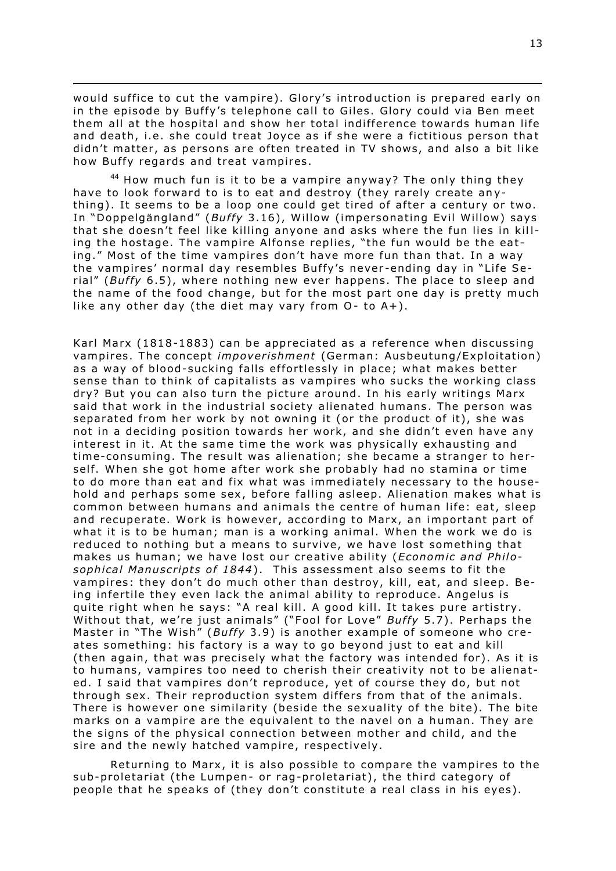would suffice to cut the vampire). Glory's introduction is prepared early on in the episode by Buffy's telephone call to Giles. Glory could via Ben meet them all at the hospital and show her total indifference towards human life and death, i.e. she could treat Joyce as if she were a fictitious person that didn't matter, as persons are often treated in TV shows, and also a bit like how Buffy regards and treat vampires.

 $\overline{a}$ 

44 How much fun is it to be a vampire anyway? The only thing they have to look forward to is to eat and destroy (they rarely create anything). It seems to be a loop one could get tired of after a century or two. In "Doppelgängland" (*Buffy* 3.16), Willow (impersonating Evil Willow) says that she doesn't feel like killing anyone and asks where the fun lies in killing the hostage. The vampire Alfonse replies, "the fun would be the eating." Most of the time vampires don't have more fun than that. In a way the vampires' normal day resembles Buffy's never-ending day in "Life Serial" (*Buffy* 6.5), where nothing new ever happens. The place to sleep and the name of the food change, but for the most part one day is pretty much like any other day (the diet may vary from  $O-$  to  $A+$ ).

Karl Marx (1818-1883) can be appreciated as a reference when discussing vampires. The concept *impoverishment* (German: Ausbeutung/Exploitation) as a way of blood-sucking falls effortlessly in place; what makes better sense than to think of capitalists as vampires who sucks the working class dry? But you can also turn the picture around. In his early writings Marx said that work in the industrial society alienated humans. The person was separated from her work by not owning it (or the product of it), she was not in a deciding position towards her work, and she didn't even have any interest in it. At the same time the work was physically exhausting and time-consuming. The result was alienation; she became a stranger to herself. When she got home after work she probably had no stamina or time to do more than eat and fix what was immediately necessary to the household and perhaps some sex, before falling asleep. Alienation makes what is common between humans and animals the centre of human life: eat, sleep and recuperate. Work is however, according to Marx, an important part of what it is to be human; man is a working animal. When the work we do is reduced to nothing but a means to survive, we have lost something that makes us human; we have lost our creative ability (*Economic and Philo*sophical Manuscripts of 1844). This assessment also seems to fit the vampires: they don't do much other than destroy, kill, eat, and sleep. Being infertile they even lack the animal ability to reproduce. Angelus is quite right when he says: "A real kill. A good kill. It takes pure artistry. Without that, we're just animals" ("Fool for Love" Buffy 5.7). Perhaps the Master in "The Wish" (Buffy 3.9) is another example of someone who creates something: his factory is a way to go beyond just to eat and kill (then again, that was precisely what the factory was intended for). As it is to humans, vampires too need to cherish their creativity not to be alienated. I said that vampires don't reproduce, yet of course they do, but not through sex. Their reproduction system differs from that of the animals. There is however one similarity (beside the sexuality of the bite). The bite marks on a vampire are the equivalent to the navel on a human. They are the signs of the physical connection between mother and child, and the sire and the newly hatched vampire, respectively.

Returning to Marx, it is also possible to compare the vampires to the sub-proletariat (the Lumpen- or rag-proletariat), the third category of people that he speaks of (they don't constitute a real class in his eyes).